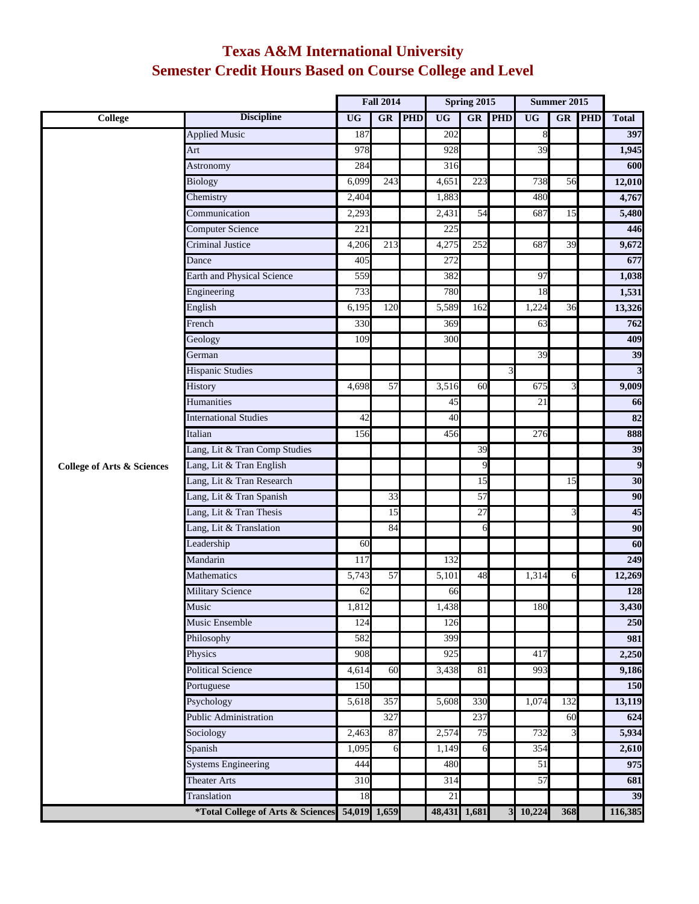## **Texas A&M International University Semester Credit Hours Based on Course College and Level**

|                                       |                                                | <b>Fall 2014</b> |     | Spring 2015 |              |                 | Summer 2015 |           |     |            |                         |
|---------------------------------------|------------------------------------------------|------------------|-----|-------------|--------------|-----------------|-------------|-----------|-----|------------|-------------------------|
| <b>College</b>                        | <b>Discipline</b>                              | <b>UG</b>        | GR  | PHD         | <b>UG</b>    | GR              | <b>PHD</b>  | <b>UG</b> | GR  | <b>PHD</b> | <b>Total</b>            |
|                                       | <b>Applied Music</b>                           | 187              |     |             | 202          |                 |             | 8         |     |            | 397                     |
|                                       | Art                                            | 978              |     |             | 928          |                 |             | 39        |     |            | 1,945                   |
|                                       | Astronomy                                      | 284              |     |             | 316          |                 |             |           |     |            | 600                     |
|                                       | <b>Biology</b>                                 | 6,099            | 243 |             | 4,651        | 223             |             | 738       | 56  |            | 12,010                  |
|                                       | Chemistry                                      | 2,404            |     |             | 1,883        |                 |             | 480       |     |            | 4,767                   |
|                                       | Communication                                  | 2,293            |     |             | 2,431        | $\overline{54}$ |             | 687       | 15  |            | 5,480                   |
|                                       | <b>Computer Science</b>                        | 221              |     |             | 225          |                 |             |           |     |            | 446                     |
|                                       | Criminal Justice                               | 4,206            | 213 |             | 4,275        | 252             |             | 687       | 39  |            | 9,672                   |
|                                       | Dance                                          | 405              |     |             | 272          |                 |             |           |     |            | 677                     |
|                                       | Earth and Physical Science                     | 559              |     |             | 382          |                 |             | 97        |     |            | 1,038                   |
|                                       | Engineering                                    | 733              |     |             | 780          |                 |             | 18        |     |            | 1,531                   |
|                                       | English                                        | 6,195            | 120 |             | 5,589        | 162             |             | 1,224     | 36  |            | 13,326                  |
|                                       | French                                         | 330              |     |             | 369          |                 |             | 63        |     |            | 762                     |
|                                       | Geology                                        | 109              |     |             | 300          |                 |             |           |     |            | 409                     |
|                                       | German                                         |                  |     |             |              |                 |             | 39        |     |            | 39                      |
|                                       | <b>Hispanic Studies</b>                        |                  |     |             |              |                 | 3           |           |     |            | $\overline{\mathbf{3}}$ |
|                                       | History                                        | 4,698            | 57  |             | 3,516        | 60              |             | 675       | 3   |            | 9,009                   |
|                                       | Humanities                                     |                  |     |             | 45           |                 |             | 21        |     |            | 66                      |
|                                       | <b>International Studies</b>                   | 42               |     |             | 40           |                 |             |           |     |            | 82                      |
|                                       | Italian                                        | 156              |     |             | 456          |                 |             | 276       |     |            | 888                     |
|                                       | Lang, Lit & Tran Comp Studies                  |                  |     |             |              | $\overline{39}$ |             |           |     |            | 39                      |
| <b>College of Arts &amp; Sciences</b> | Lang, Lit & Tran English                       |                  |     |             |              | 9               |             |           |     |            | 9                       |
|                                       | Lang, Lit & Tran Research                      |                  |     |             |              | 15              |             |           | 15  |            | 30                      |
|                                       | Lang, Lit & Tran Spanish                       |                  | 33  |             |              | 57              |             |           |     |            | 90                      |
|                                       | Lang, Lit & Tran Thesis                        |                  | 15  |             |              | $\overline{27}$ |             |           | 3   |            | 45                      |
|                                       | Lang, Lit & Translation                        |                  | 84  |             |              | 6               |             |           |     |            | 90                      |
|                                       | Leadership                                     | 60               |     |             |              |                 |             |           |     |            | 60                      |
|                                       | Mandarin                                       | 117              |     |             | 132          |                 |             |           |     |            | 249                     |
|                                       | Mathematics                                    | 5,743            | 57  |             | 5,101        | 48              |             | 1,314     | 6   |            | 12,269                  |
|                                       | Military Science                               | 62               |     |             | 66           |                 |             |           |     |            | 128                     |
|                                       | Music                                          | 1,812            |     |             | 1,438        |                 |             | 180       |     |            | 3,430                   |
|                                       | <b>Music Ensemble</b>                          | 124              |     |             | 126          |                 |             |           |     |            | 250                     |
|                                       | Philosophy                                     | 582              |     |             | 399          |                 |             |           |     |            | 981                     |
|                                       | Physics                                        | 908              |     |             | 925          |                 |             | 417       |     |            | 2,250                   |
|                                       | <b>Political Science</b>                       | 4,614            | 60  |             | 3,438        | 81              |             | 993       |     |            | 9,186                   |
|                                       | Portuguese                                     | 150              |     |             |              |                 |             |           |     |            | 150                     |
|                                       | Psychology                                     | 5,618            | 357 |             | 5,608        | 330             |             | 1,074     | 132 |            | 13,119                  |
|                                       | <b>Public Administration</b>                   |                  | 327 |             |              | 237             |             |           | 60  |            | 624                     |
|                                       | Sociology                                      | 2,463            | 87  |             | 2,574        | 75              |             | 732       | 3   |            | 5,934                   |
|                                       | Spanish                                        | 1,095            | 6   |             | 1,149        | 6               |             | 354       |     |            | 2,610                   |
|                                       | <b>Systems Engineering</b>                     | 444              |     |             | 480          |                 |             | 51        |     |            | 975                     |
|                                       | <b>Theater Arts</b>                            | 310              |     |             | 314          |                 |             | 57        |     |            | 681                     |
|                                       | Translation                                    | 18               |     |             | 21           |                 |             |           |     |            | 39                      |
|                                       | *Total College of Arts & Sciences 54,019 1,659 |                  |     |             | 48,431 1,681 |                 |             | 3 10,224  | 368 |            | 116,385                 |